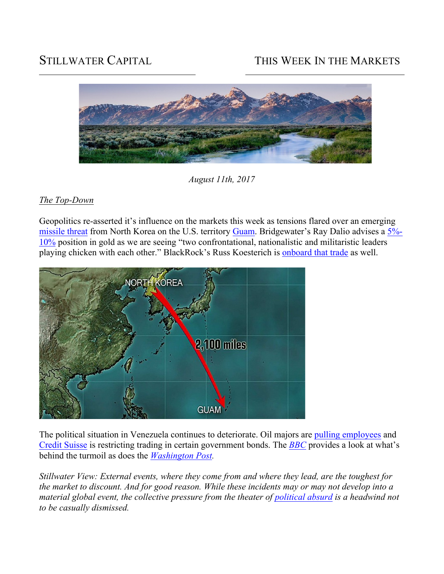# STILLWATER CAPITAL THIS WEEK IN THE MARKETS



*August 11th, 2017*

## *The Top-Down*

Geopolitics re-asserted it's influence on the markets this week as tensions flared over an emerging missile threat from North Korea on the U.S. territory Guam. Bridgewater's Ray Dalio advises a 5%- 10% position in gold as we are seeing "two confrontational, nationalistic and militaristic leaders playing chicken with each other." BlackRock's Russ Koesterich is onboard that trade as well.



The political situation in Venezuela continues to deteriorate. Oil majors are pulling employees and Credit Suisse is restricting trading in certain government bonds. The *BBC* provides a look at what's behind the turmoil as does the *Washington Post.*

*Stillwater View: External events, where they come from and where they lead, are the toughest for the market to discount. And for good reason. While these incidents may or may not develop into a material global event, the collective pressure from the theater of political absurd is a headwind not to be casually dismissed.*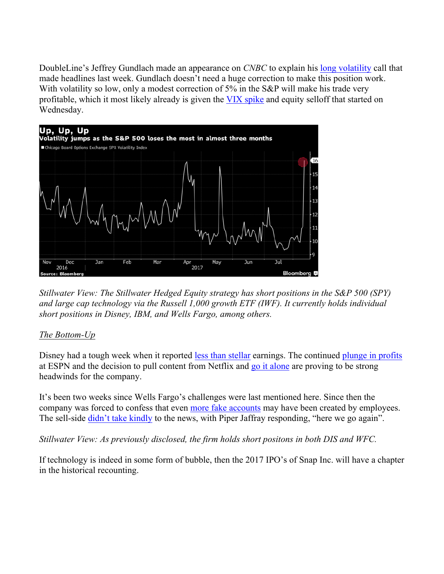DoubleLine's Jeffrey Gundlach made an appearance on *CNBC* to explain his long volatility call that made headlines last week. Gundlach doesn't need a huge correction to make this position work. With volatility so low, only a modest correction of 5% in the S&P will make his trade very profitable, which it most likely already is given the VIX spike and equity selloff that started on Wednesday.



*Stillwater View: The Stillwater Hedged Equity strategy has short positions in the S&P 500 (SPY) and large cap technology via the Russell 1,000 growth ETF (IWF). It currently holds individual short positions in Disney, IBM, and Wells Fargo, among others.*

## *The Bottom-Up*

Disney had a tough week when it reported less than stellar earnings. The continued plunge in profits at ESPN and the decision to pull content from Netflix and go it alone are proving to be strong headwinds for the company.

It's been two weeks since Wells Fargo's challenges were last mentioned here. Since then the company was forced to confess that even more fake accounts may have been created by employees. The sell-side didn't take kindly to the news, with Piper Jaffray responding, "here we go again".

*Stillwater View: As previously disclosed, the firm holds short positons in both DIS and WFC.* 

If technology is indeed in some form of bubble, then the 2017 IPO's of Snap Inc. will have a chapter in the historical recounting.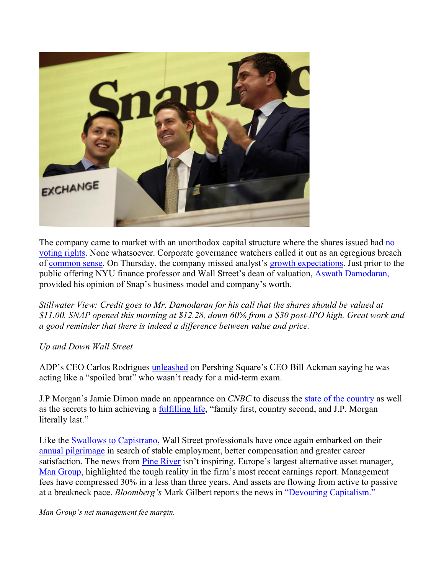

The company came to market with an unorthodox capital structure where the shares issued had no voting rights. None whatsoever. Corporate governance watchers called it out as an egregious breach of common sense. On Thursday, the company missed analyst's growth expectations. Just prior to the public offering NYU finance professor and Wall Street's dean of valuation, Aswath Damodaran, provided his opinion of Snap's business model and company's worth.

*Stillwater View: Credit goes to Mr. Damodaran for his call that the shares should be valued at \$11.00. SNAP opened this morning at \$12.28, down 60% from a \$30 post-IPO high. Great work and a good reminder that there is indeed a difference between value and price.* 

## *Up and Down Wall Street*

ADP's CEO Carlos Rodrigues unleashed on Pershing Square's CEO Bill Ackman saying he was acting like a "spoiled brat" who wasn't ready for a mid-term exam.

J.P Morgan's Jamie Dimon made an appearance on *CNBC* to discuss the state of the country as well as the secrets to him achieving a fulfilling life, "family first, country second, and J.P. Morgan literally last."

Like the **Swallows to Capistrano**, Wall Street professionals have once again embarked on their annual pilgrimage in search of stable employment, better compensation and greater career satisfaction. The news from Pine River isn't inspiring. Europe's largest alternative asset manager, Man Group, highlighted the tough reality in the firm's most recent earnings report. Management fees have compressed 30% in a less than three years. And assets are flowing from active to passive at a breakneck pace. *Bloomberg's* Mark Gilbert reports the news in "Devouring Capitalism."

*Man Group's net management fee margin.*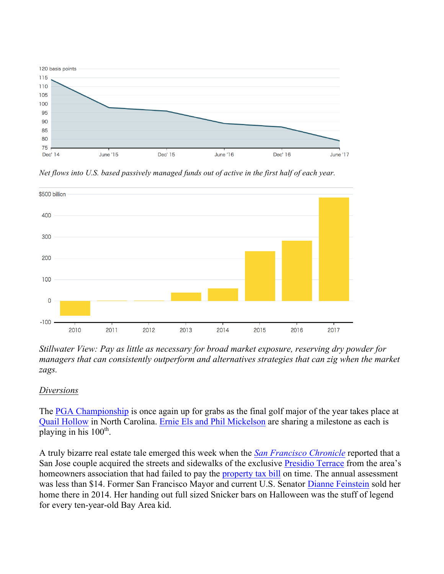

*Net flows into U.S. based passively managed funds out of active in the first half of each year.* 



*Stillwater View: Pay as little as necessary for broad market exposure, reserving dry powder for managers that can consistently outperform and alternatives strategies that can zig when the market zags.* 

## *Diversions*

The PGA Championship is once again up for grabs as the final golf major of the year takes place at Quail Hollow in North Carolina. Ernie Els and Phil Mickelson are sharing a milestone as each is playing in his  $100<sup>th</sup>$ .

A truly bizarre real estate tale emerged this week when the *San Francisco Chronicle* reported that a San Jose couple acquired the streets and sidewalks of the exclusive Presidio Terrace from the area's homeowners association that had failed to pay the property tax bill on time. The annual assessment was less than \$14. Former San Francisco Mayor and current U.S. Senator Dianne Feinstein sold her home there in 2014. Her handing out full sized Snicker bars on Halloween was the stuff of legend for every ten-year-old Bay Area kid.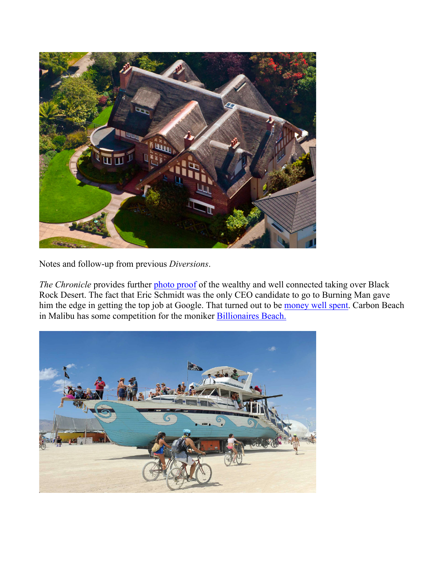

Notes and follow-up from previous *Diversions*.

The Chronicle provides further photo proof of the wealthy and well connected taking over Black Rock Desert. The fact that Eric Schmidt was the only CEO candidate to go to Burning Man gave him the edge in getting the top job at Google. That turned out to be money well spent. Carbon Beach in Malibu has some competition for the moniker Billionaires Beach.